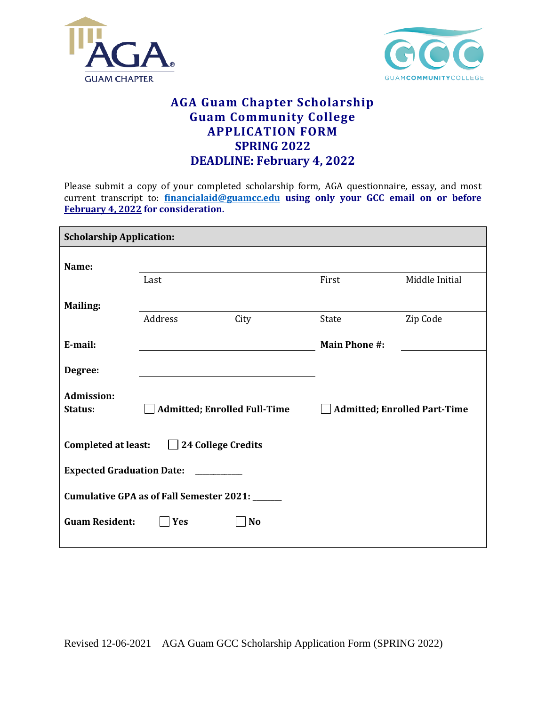



## **AGA Guam Chapter Scholarship Guam Community College APPLICATION FORM SPRING 2022 DEADLINE: February 4, 2022**

Please submit a copy of your completed scholarship form, AGA questionnaire, essay, and most current transcript to: **[financialaid@guamcc.edu](mailto:financialaid@guamcc.edu) using only your GCC email on or before February 4, 2022 for consideration.**

| <b>Scholarship Application:</b>                             |                                     |           |                                     |                |
|-------------------------------------------------------------|-------------------------------------|-----------|-------------------------------------|----------------|
| Name:                                                       |                                     |           |                                     |                |
|                                                             | Last                                |           | First                               | Middle Initial |
| <b>Mailing:</b>                                             |                                     |           |                                     |                |
|                                                             | Address                             | City      | State                               | Zip Code       |
| E-mail:                                                     |                                     |           | <b>Main Phone #:</b>                |                |
| Degree:                                                     |                                     |           |                                     |                |
| <b>Admission:</b><br>Status:                                | <b>Admitted; Enrolled Full-Time</b> |           | <b>Admitted; Enrolled Part-Time</b> |                |
| 24 College Credits<br><b>Completed at least:</b><br>$\perp$ |                                     |           |                                     |                |
| <b>Expected Graduation Date:</b>                            |                                     |           |                                     |                |
| Cumulative GPA as of Fall Semester 2021: _____              |                                     |           |                                     |                |
| <b>Guam Resident:</b>                                       | Yes                                 | <b>No</b> |                                     |                |

Revised 12-06-2021 AGA Guam GCC Scholarship Application Form (SPRING 2022)